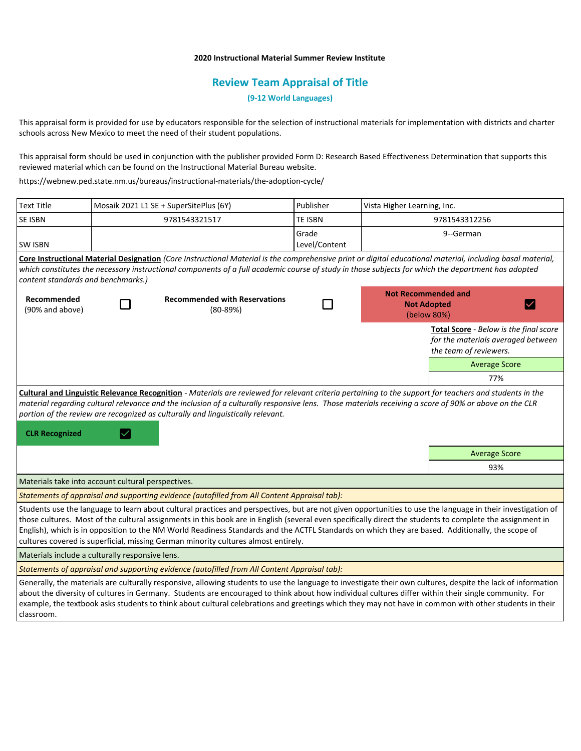# **2020 Instructional Material Summer Review Institute**

# **Review Team Appraisal of Title**

**(9-12 World Languages)**

This appraisal form is provided for use by educators responsible for the selection of instructional materials for implementation with districts and charter schools across New Mexico to meet the need of their student populations.

This appraisal form should be used in conjunction with the publisher provided Form D: Research Based Effectiveness Determination that supports this reviewed material which can be found on the Instructional Material Bureau website.

<https://webnew.ped.state.nm.us/bureaus/instructional-materials/the-adoption-cycle/>

| <b>Text Title</b>                                                                                                                                                                                                                                                                                                                                                                                                                                                                                                                                                  | Mosaik 2021 L1 SE + SuperSitePlus (6Y) |                                                    | Publisher              | Vista Higher Learning, Inc.                                     |                                                                                                        |
|--------------------------------------------------------------------------------------------------------------------------------------------------------------------------------------------------------------------------------------------------------------------------------------------------------------------------------------------------------------------------------------------------------------------------------------------------------------------------------------------------------------------------------------------------------------------|----------------------------------------|----------------------------------------------------|------------------------|-----------------------------------------------------------------|--------------------------------------------------------------------------------------------------------|
| SE ISBN                                                                                                                                                                                                                                                                                                                                                                                                                                                                                                                                                            |                                        | 9781543321517                                      | TE ISBN                | 9781543312256                                                   |                                                                                                        |
| <b>SW ISBN</b>                                                                                                                                                                                                                                                                                                                                                                                                                                                                                                                                                     |                                        |                                                    | Grade<br>Level/Content |                                                                 | 9--German                                                                                              |
| Core Instructional Material Designation (Core Instructional Material is the comprehensive print or digital educational material, including basal material,<br>which constitutes the necessary instructional components of a full academic course of study in those subjects for which the department has adopted<br>content standards and benchmarks.)                                                                                                                                                                                                             |                                        |                                                    |                        |                                                                 |                                                                                                        |
| Recommended<br>(90% and above)                                                                                                                                                                                                                                                                                                                                                                                                                                                                                                                                     |                                        | <b>Recommended with Reservations</b><br>$(80-89%)$ |                        | <b>Not Recommended and</b><br><b>Not Adopted</b><br>(below 80%) |                                                                                                        |
|                                                                                                                                                                                                                                                                                                                                                                                                                                                                                                                                                                    |                                        |                                                    |                        |                                                                 | Total Score - Below is the final score<br>for the materials averaged between<br>the team of reviewers. |
|                                                                                                                                                                                                                                                                                                                                                                                                                                                                                                                                                                    |                                        |                                                    |                        |                                                                 | <b>Average Score</b>                                                                                   |
|                                                                                                                                                                                                                                                                                                                                                                                                                                                                                                                                                                    |                                        |                                                    |                        |                                                                 | 77%                                                                                                    |
| material regarding cultural relevance and the inclusion of a culturally responsive lens. Those materials receiving a score of 90% or above on the CLR<br>portion of the review are recognized as culturally and linguistically relevant.<br><b>CLR Recognized</b><br>$\overline{\mathsf{v}}$                                                                                                                                                                                                                                                                       |                                        |                                                    |                        |                                                                 |                                                                                                        |
|                                                                                                                                                                                                                                                                                                                                                                                                                                                                                                                                                                    |                                        |                                                    |                        |                                                                 | <b>Average Score</b>                                                                                   |
|                                                                                                                                                                                                                                                                                                                                                                                                                                                                                                                                                                    |                                        |                                                    |                        |                                                                 | 93%                                                                                                    |
| Materials take into account cultural perspectives.                                                                                                                                                                                                                                                                                                                                                                                                                                                                                                                 |                                        |                                                    |                        |                                                                 |                                                                                                        |
| Statements of appraisal and supporting evidence (autofilled from All Content Appraisal tab):                                                                                                                                                                                                                                                                                                                                                                                                                                                                       |                                        |                                                    |                        |                                                                 |                                                                                                        |
| Students use the language to learn about cultural practices and perspectives, but are not given opportunities to use the language in their investigation of<br>those cultures. Most of the cultural assignments in this book are in English (several even specifically direct the students to complete the assignment in<br>English), which is in opposition to the NM World Readiness Standards and the ACTFL Standards on which they are based. Additionally, the scope of<br>cultures covered is superficial, missing German minority cultures almost entirely. |                                        |                                                    |                        |                                                                 |                                                                                                        |
| Materials include a culturally responsive lens.                                                                                                                                                                                                                                                                                                                                                                                                                                                                                                                    |                                        |                                                    |                        |                                                                 |                                                                                                        |
| Statements of appraisal and supporting evidence (autofilled from All Content Appraisal tab):                                                                                                                                                                                                                                                                                                                                                                                                                                                                       |                                        |                                                    |                        |                                                                 |                                                                                                        |
| Generally, the materials are culturally responsive, allowing students to use the language to investigate their own cultures, despite the lack of information<br>about the diversity of cultures in Germany. Students are encouraged to think about how individual cultures differ within their single community. For<br>example, the textbook asks students to think about cultural celebrations and greetings which they may not have in common with other students in their<br>classroom.                                                                        |                                        |                                                    |                        |                                                                 |                                                                                                        |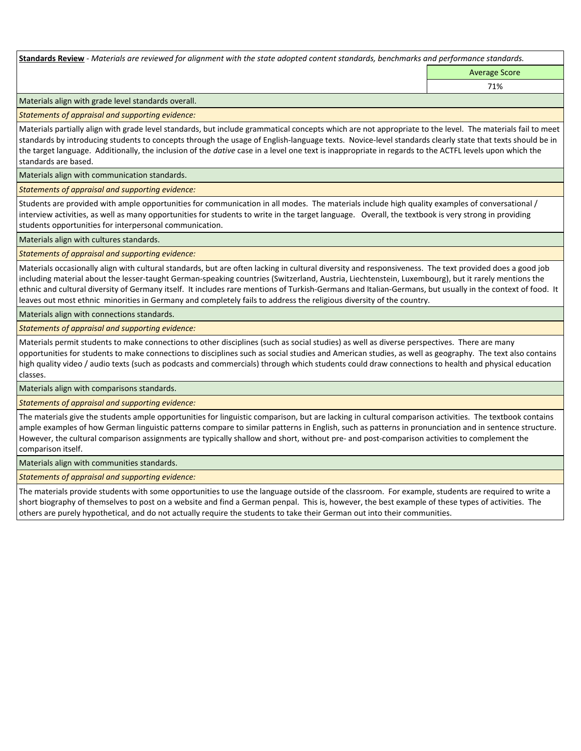**Standards Review** *- Materials are reviewed for alignment with the state adopted content standards, benchmarks and performance standards.*

Average Score 71%

Materials align with grade level standards overall.

*Statements of appraisal and supporting evidence:* 

Materials partially align with grade level standards, but include grammatical concepts which are not appropriate to the level. The materials fail to meet standards by introducing students to concepts through the usage of English-language texts. Novice-level standards clearly state that texts should be in the target language. Additionally, the inclusion of the *dative* case in a level one text is inappropriate in regards to the ACTFL levels upon which the standards are based.

Materials align with communication standards.

*Statements of appraisal and supporting evidence:* 

Students are provided with ample opportunities for communication in all modes. The materials include high quality examples of conversational / interview activities, as well as many opportunities for students to write in the target language. Overall, the textbook is very strong in providing students opportunities for interpersonal communication.

Materials align with cultures standards.

*Statements of appraisal and supporting evidence:* 

Materials occasionally align with cultural standards, but are often lacking in cultural diversity and responsiveness. The text provided does a good job including material about the lesser-taught German-speaking countries (Switzerland, Austria, Liechtenstein, Luxembourg), but it rarely mentions the ethnic and cultural diversity of Germany itself. It includes rare mentions of Turkish-Germans and Italian-Germans, but usually in the context of food. It leaves out most ethnic minorities in Germany and completely fails to address the religious diversity of the country.

Materials align with connections standards.

*Statements of appraisal and supporting evidence:* 

Materials permit students to make connections to other disciplines (such as social studies) as well as diverse perspectives. There are many opportunities for students to make connections to disciplines such as social studies and American studies, as well as geography. The text also contains high quality video / audio texts (such as podcasts and commercials) through which students could draw connections to health and physical education classes.

Materials align with comparisons standards.

*Statements of appraisal and supporting evidence:* 

The materials give the students ample opportunities for linguistic comparison, but are lacking in cultural comparison activities. The textbook contains ample examples of how German linguistic patterns compare to similar patterns in English, such as patterns in pronunciation and in sentence structure. However, the cultural comparison assignments are typically shallow and short, without pre- and post-comparison activities to complement the comparison itself.

Materials align with communities standards.

*Statements of appraisal and supporting evidence:* 

The materials provide students with some opportunities to use the language outside of the classroom. For example, students are required to write a short biography of themselves to post on a website and find a German penpal. This is, however, the best example of these types of activities. The others are purely hypothetical, and do not actually require the students to take their German out into their communities.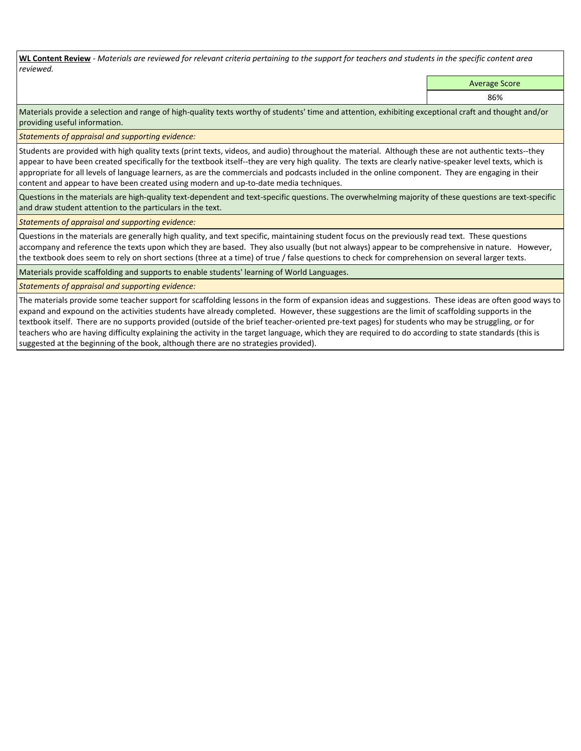**WL Content Review** *- Materials are reviewed for relevant criteria pertaining to the support for teachers and students in the specific content area reviewed.*

Average Score

86%

Materials provide a selection and range of high-quality texts worthy of students' time and attention, exhibiting exceptional craft and thought and/or providing useful information.

*Statements of appraisal and supporting evidence:* 

Students are provided with high quality texts (print texts, videos, and audio) throughout the material. Although these are not authentic texts--they appear to have been created specifically for the textbook itself--they are very high quality. The texts are clearly native-speaker level texts, which is appropriate for all levels of language learners, as are the commercials and podcasts included in the online component. They are engaging in their content and appear to have been created using modern and up-to-date media techniques.

Questions in the materials are high-quality text-dependent and text-specific questions. The overwhelming majority of these questions are text-specific and draw student attention to the particulars in the text.

*Statements of appraisal and supporting evidence:* 

Questions in the materials are generally high quality, and text specific, maintaining student focus on the previously read text. These questions accompany and reference the texts upon which they are based. They also usually (but not always) appear to be comprehensive in nature. However, the textbook does seem to rely on short sections (three at a time) of true / false questions to check for comprehension on several larger texts.

Materials provide scaffolding and supports to enable students' learning of World Languages.

*Statements of appraisal and supporting evidence:* 

The materials provide some teacher support for scaffolding lessons in the form of expansion ideas and suggestions. These ideas are often good ways to expand and expound on the activities students have already completed. However, these suggestions are the limit of scaffolding supports in the textbook itself. There are no supports provided (outside of the brief teacher-oriented pre-text pages) for students who may be struggling, or for teachers who are having difficulty explaining the activity in the target language, which they are required to do according to state standards (this is suggested at the beginning of the book, although there are no strategies provided).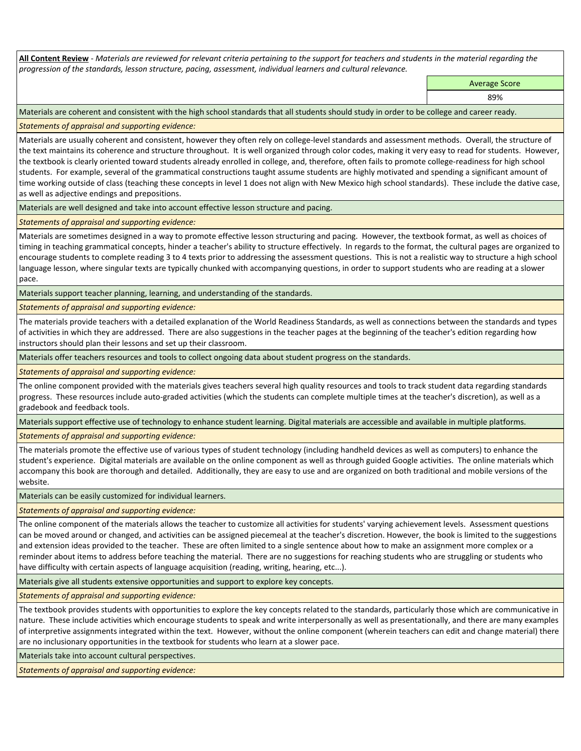**All Content Review** *- Materials are reviewed for relevant criteria pertaining to the support for teachers and students in the material regarding the progression of the standards, lesson structure, pacing, assessment, individual learners and cultural relevance.*

Average Score

89%

Materials are coherent and consistent with the high school standards that all students should study in order to be college and career ready.

*Statements of appraisal and supporting evidence:*

Materials are usually coherent and consistent, however they often rely on college-level standards and assessment methods. Overall, the structure of the text maintains its coherence and structure throughout. It is well organized through color codes, making it very easy to read for students. However, the textbook is clearly oriented toward students already enrolled in college, and, therefore, often fails to promote college-readiness for high school students. For example, several of the grammatical constructions taught assume students are highly motivated and spending a significant amount of time working outside of class (teaching these concepts in level 1 does not align with New Mexico high school standards). These include the dative case, as well as adjective endings and prepositions.

Materials are well designed and take into account effective lesson structure and pacing.

*Statements of appraisal and supporting evidence:*

Materials are sometimes designed in a way to promote effective lesson structuring and pacing. However, the textbook format, as well as choices of timing in teaching grammatical concepts, hinder a teacher's ability to structure effectively. In regards to the format, the cultural pages are organized to encourage students to complete reading 3 to 4 texts prior to addressing the assessment questions. This is not a realistic way to structure a high school language lesson, where singular texts are typically chunked with accompanying questions, in order to support students who are reading at a slower pace.

Materials support teacher planning, learning, and understanding of the standards.

*Statements of appraisal and supporting evidence:*

The materials provide teachers with a detailed explanation of the World Readiness Standards, as well as connections between the standards and types of activities in which they are addressed. There are also suggestions in the teacher pages at the beginning of the teacher's edition regarding how instructors should plan their lessons and set up their classroom.

Materials offer teachers resources and tools to collect ongoing data about student progress on the standards.

*Statements of appraisal and supporting evidence:*

The online component provided with the materials gives teachers several high quality resources and tools to track student data regarding standards progress. These resources include auto-graded activities (which the students can complete multiple times at the teacher's discretion), as well as a gradebook and feedback tools.

Materials support effective use of technology to enhance student learning. Digital materials are accessible and available in multiple platforms.

*Statements of appraisal and supporting evidence:*

The materials promote the effective use of various types of student technology (including handheld devices as well as computers) to enhance the student's experience. Digital materials are available on the online component as well as through guided Google activities. The online materials which accompany this book are thorough and detailed. Additionally, they are easy to use and are organized on both traditional and mobile versions of the website.

Materials can be easily customized for individual learners.

*Statements of appraisal and supporting evidence:* 

The online component of the materials allows the teacher to customize all activities for students' varying achievement levels. Assessment questions can be moved around or changed, and activities can be assigned piecemeal at the teacher's discretion. However, the book is limited to the suggestions and extension ideas provided to the teacher. These are often limited to a single sentence about how to make an assignment more complex or a reminder about items to address before teaching the material. There are no suggestions for reaching students who are struggling or students who have difficulty with certain aspects of language acquisition (reading, writing, hearing, etc...).

Materials give all students extensive opportunities and support to explore key concepts.

*Statements of appraisal and supporting evidence:*

The textbook provides students with opportunities to explore the key concepts related to the standards, particularly those which are communicative in nature. These include activities which encourage students to speak and write interpersonally as well as presentationally, and there are many examples of interpretive assignments integrated within the text. However, without the online component (wherein teachers can edit and change material) there are no inclusionary opportunities in the textbook for students who learn at a slower pace.

Materials take into account cultural perspectives.

*Statements of appraisal and supporting evidence:*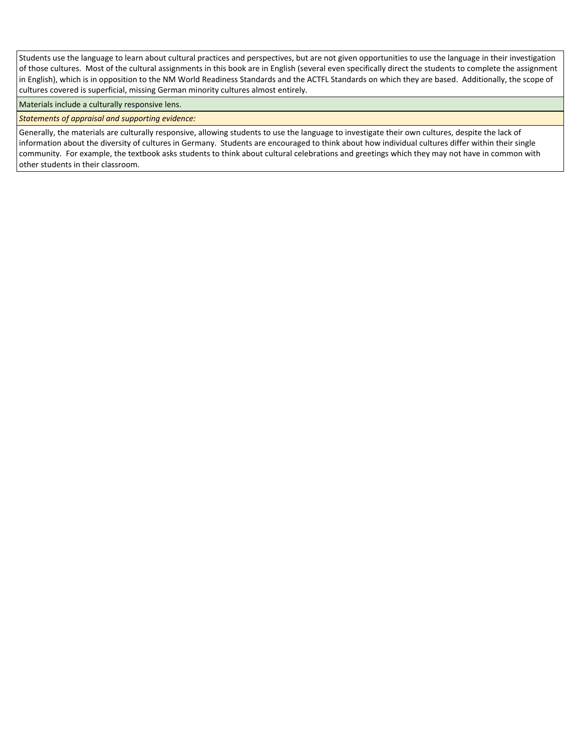Students use the language to learn about cultural practices and perspectives, but are not given opportunities to use the language in their investigation of those cultures. Most of the cultural assignments in this book are in English (several even specifically direct the students to complete the assignment in English), which is in opposition to the NM World Readiness Standards and the ACTFL Standards on which they are based. Additionally, the scope of cultures covered is superficial, missing German minority cultures almost entirely.

Materials include a culturally responsive lens.

*Statements of appraisal and supporting evidence:*

Generally, the materials are culturally responsive, allowing students to use the language to investigate their own cultures, despite the lack of information about the diversity of cultures in Germany. Students are encouraged to think about how individual cultures differ within their single community. For example, the textbook asks students to think about cultural celebrations and greetings which they may not have in common with other students in their classroom.